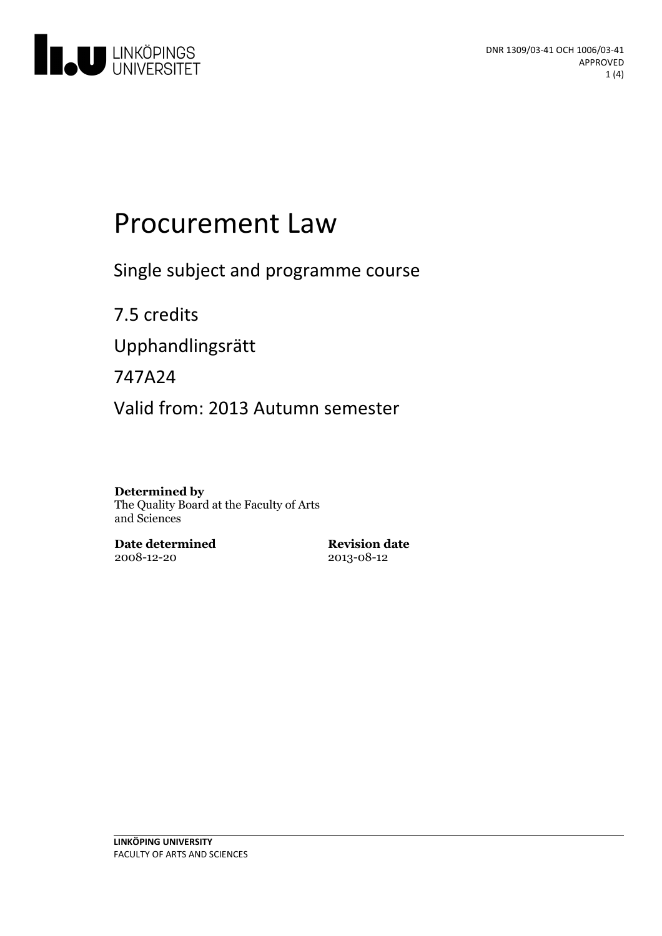

# Procurement Law

Single subject and programme course

7.5 credits Upphandlingsrätt 747A24

Valid from: 2013 Autumn semester

#### **Determined by**

The Quality Board at the Faculty of Arts and Sciences

**Date determined** 2008-12-20

**Revision date** 2013-08-12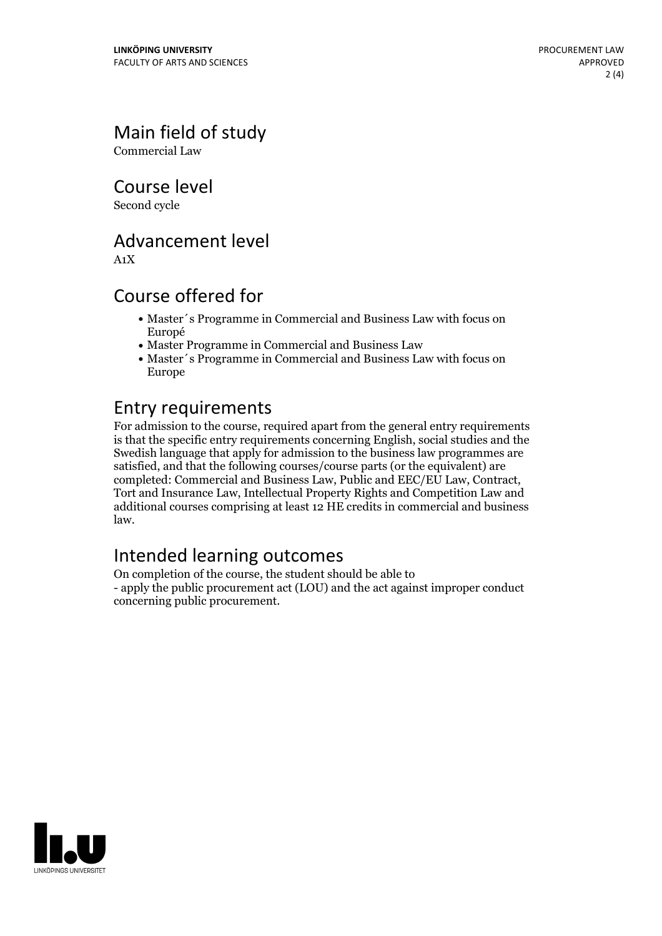## Main field of study

Commercial Law

Course level

Second cycle

#### Advancement level

A1X

#### Course offered for

- Master´s Programme in Commercial and Business Law with focus on Europé
- Master Programme in Commercial and Business Law
- Master´s Programme in Commercial and Business Law with focus on Europe

#### Entry requirements

For admission to the course, required apart from the general entry requirements is that the specific entry requirements concerning English, social studies and the Swedish language that apply for admission to the business law programmes are satisfied, and that the following courses/course parts (or the equivalent) are completed: Commercial and Business Law, Public and EEC/EU Law, Contract, Tort and Insurance Law, Intellectual Property Rights and Competition Law and additional courses comprising at least 12 HE credits in commercial and business law.

## Intended learning outcomes

On completion of the course, the student should be able to - apply the public procurement act (LOU) and the act against improper conduct concerning public procurement.

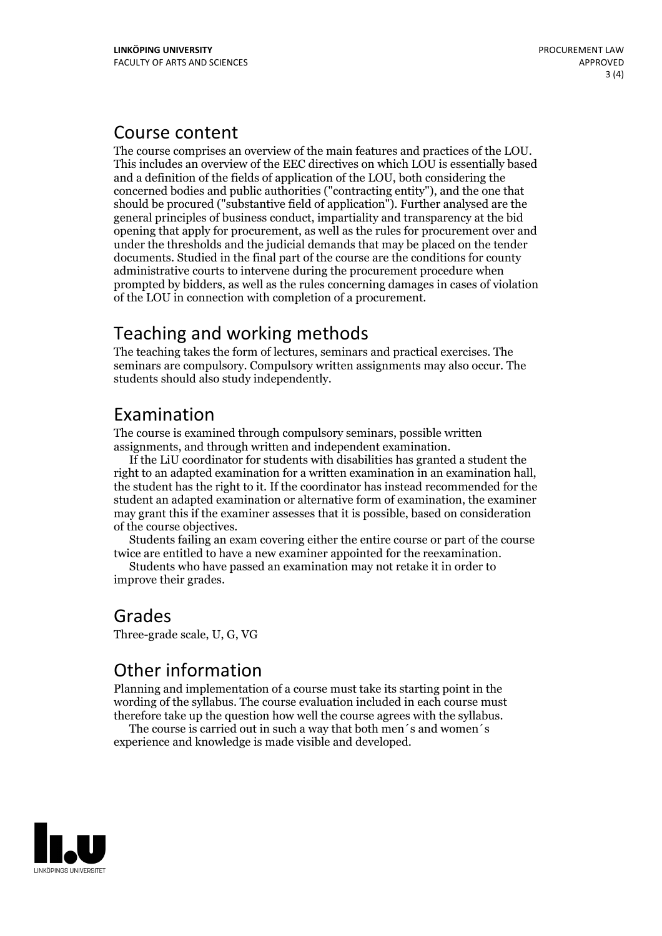#### Course content

The course comprises an overview of the main features and practices of the LOU. This includes an overview of the EEC directives on which LOU is essentially based and a definition of the fields of application of the LOU, both considering the concerned bodies and public authorities ("contracting entity"), and the one that should be procured ("substantive field of application"). Further analysed are the general principles of business conduct, impartiality and transparency atthe bid opening that apply for procurement, as well as the rules for procurement over and under the thresholds and the judicial demands that may be placed on the tender documents. Studied in the final part of the course are the conditions for county administrative courts to intervene during the procurement procedure when prompted by bidders, as well as the rules concerning damages in cases of violation of the LOU in connection with completion of a procurement.

#### Teaching and working methods

The teaching takes the form of lectures, seminars and practical exercises. The seminars are compulsory. Compulsory written assignments may also occur. The students should also study independently.

#### Examination

The course is examined through compulsory seminars, possible written assignments, and through written and independent examination.

If the LiU coordinator for students with disabilities has granted a student the right to an adapted examination for <sup>a</sup> written examination in an examination hall, the student has the right to it. If the coordinator has instead recommended for the student an adapted examination or alternative form of examination, the examiner may grant this if the examiner assesses that it is possible, based on consideration

of the course objectives. Students failing an exam covering either the entire course or part of the course twice are entitled to have <sup>a</sup> new examiner appointed for the reexamination. Students who have passed an examination may not retake it in order to

improve their grades.

#### Grades Three-grade scale, U, G, VG

## Other information

Planning and implementation of a course must take its starting point in the wording of the syllabus. The course evaluation included in each course must therefore take up the question how well the course agrees with the syllabus. The course is carried outin such <sup>a</sup> way that both men´s and women´s

experience and knowledge is made visible and developed.